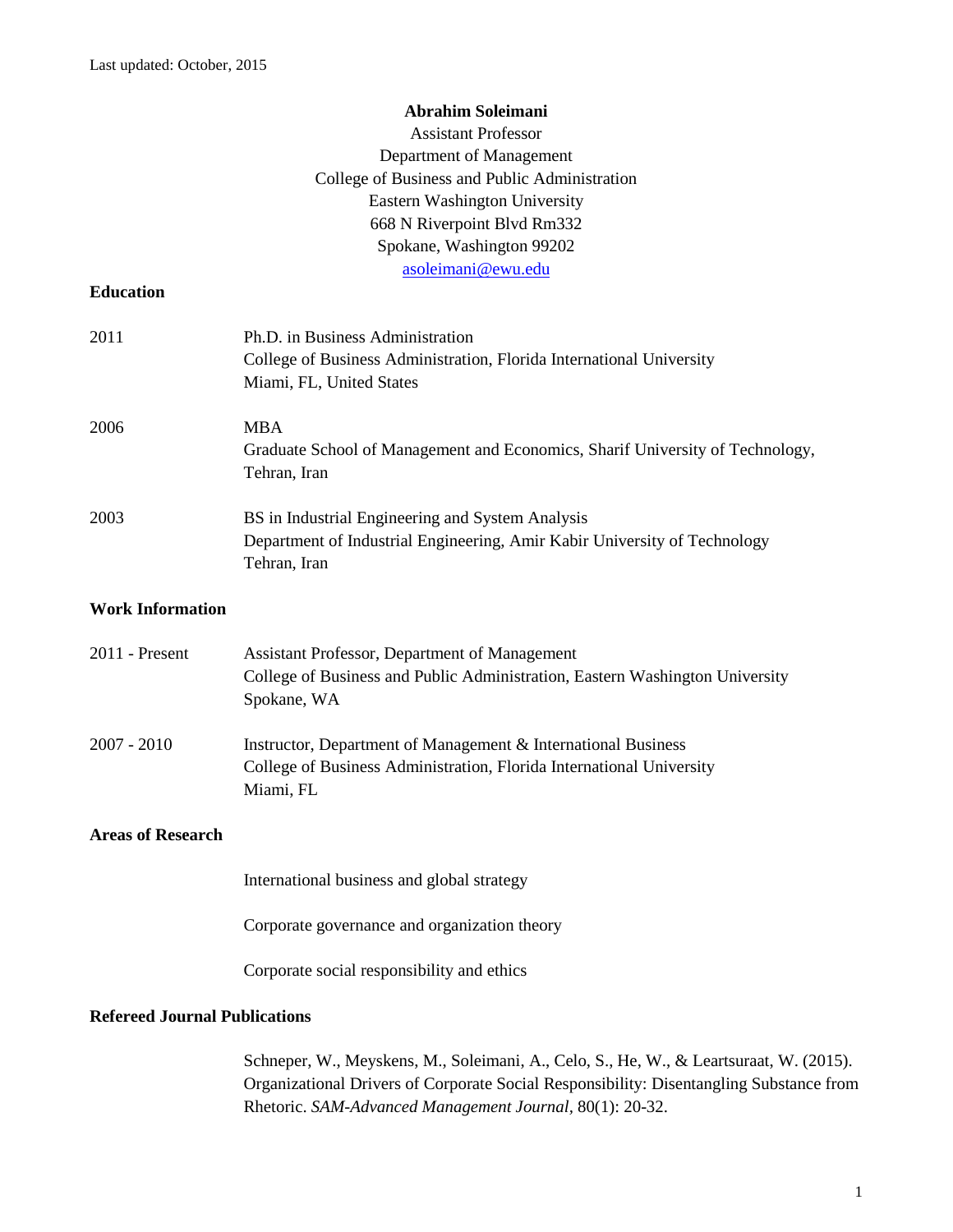## **Abrahim Soleimani**

|                                      | <b>Assistant Professor</b>                                                                                                                                                        |  |
|--------------------------------------|-----------------------------------------------------------------------------------------------------------------------------------------------------------------------------------|--|
|                                      | Department of Management                                                                                                                                                          |  |
|                                      | College of Business and Public Administration                                                                                                                                     |  |
|                                      | Eastern Washington University                                                                                                                                                     |  |
|                                      | 668 N Riverpoint Blvd Rm332                                                                                                                                                       |  |
|                                      | Spokane, Washington 99202                                                                                                                                                         |  |
| <b>Education</b>                     | asoleimani@ewu.edu                                                                                                                                                                |  |
|                                      |                                                                                                                                                                                   |  |
| 2011                                 | Ph.D. in Business Administration<br>College of Business Administration, Florida International University                                                                          |  |
|                                      | Miami, FL, United States                                                                                                                                                          |  |
|                                      |                                                                                                                                                                                   |  |
| 2006                                 | <b>MBA</b>                                                                                                                                                                        |  |
|                                      | Graduate School of Management and Economics, Sharif University of Technology,                                                                                                     |  |
|                                      | Tehran, Iran                                                                                                                                                                      |  |
| 2003                                 | BS in Industrial Engineering and System Analysis                                                                                                                                  |  |
|                                      | Department of Industrial Engineering, Amir Kabir University of Technology                                                                                                         |  |
|                                      | Tehran, Iran                                                                                                                                                                      |  |
| <b>Work Information</b>              |                                                                                                                                                                                   |  |
| 2011 - Present                       | Assistant Professor, Department of Management                                                                                                                                     |  |
|                                      | College of Business and Public Administration, Eastern Washington University                                                                                                      |  |
|                                      | Spokane, WA                                                                                                                                                                       |  |
|                                      |                                                                                                                                                                                   |  |
| $2007 - 2010$                        | Instructor, Department of Management & International Business<br>College of Business Administration, Florida International University                                             |  |
|                                      | Miami, FL                                                                                                                                                                         |  |
| <b>Areas of Research</b>             |                                                                                                                                                                                   |  |
|                                      |                                                                                                                                                                                   |  |
|                                      | International business and global strategy                                                                                                                                        |  |
|                                      | Corporate governance and organization theory                                                                                                                                      |  |
|                                      |                                                                                                                                                                                   |  |
|                                      | Corporate social responsibility and ethics                                                                                                                                        |  |
| <b>Refereed Journal Publications</b> |                                                                                                                                                                                   |  |
|                                      | Schneper, W., Meyskens, M., Soleimani, A., Celo, S., He, W., & Leartsuraat, W. (2015).<br>Organizational Drivers of Corporate Social Responsibility: Disentangling Substance from |  |

Rhetoric. *SAM-Advanced Management Journal,* 80(1): 20-32.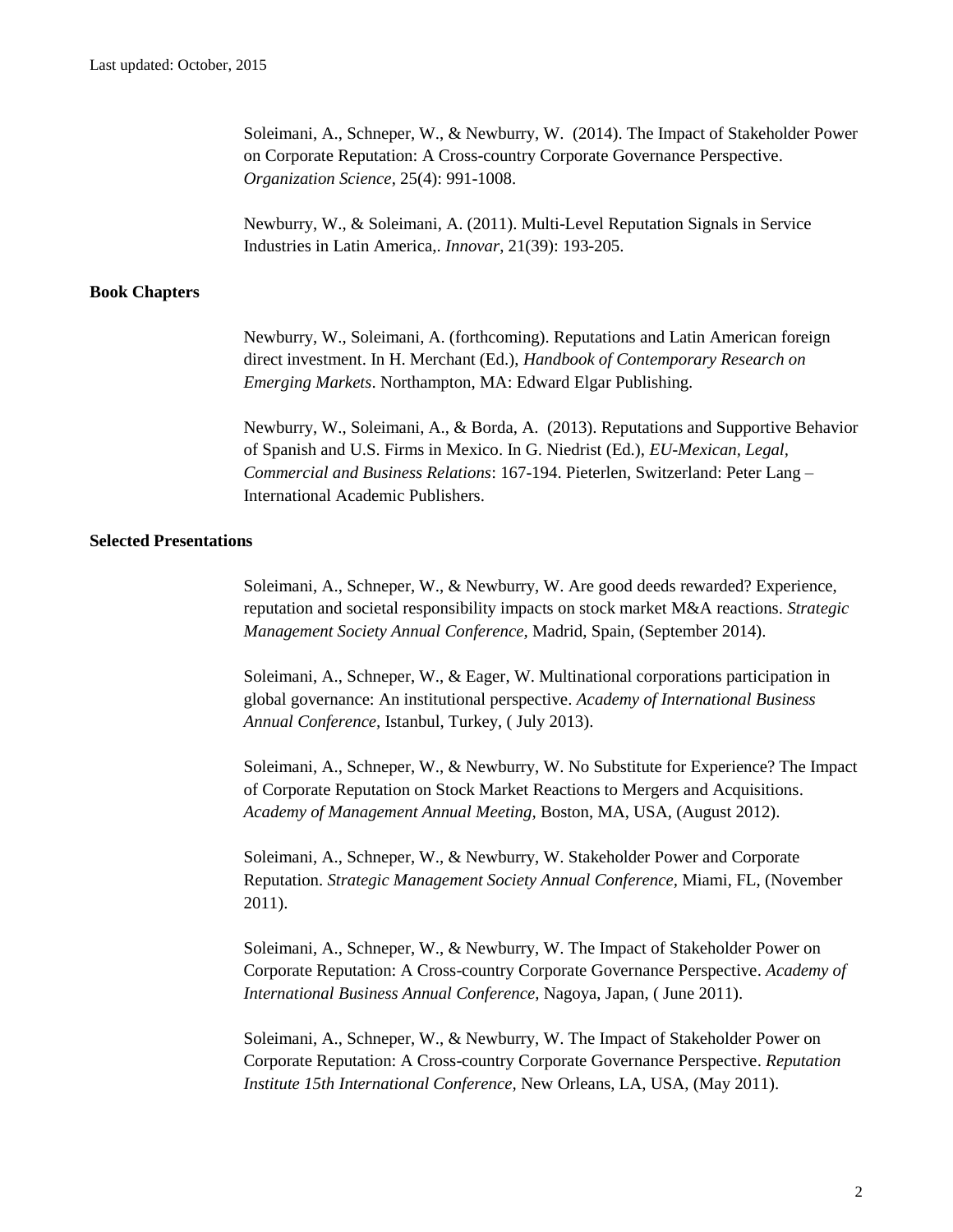Soleimani, A., Schneper, W., & Newburry, W. (2014). The Impact of Stakeholder Power on Corporate Reputation: A Cross-country Corporate Governance Perspective. *Organization Science*, 25(4): 991-1008.

Newburry, W., & Soleimani, A. (2011). Multi-Level Reputation Signals in Service Industries in Latin America,. *Innovar*, 21(39): 193-205.

## **Book Chapters**

Newburry, W., Soleimani, A. (forthcoming). Reputations and Latin American foreign direct investment. In H. Merchant (Ed.), *Handbook of Contemporary Research on Emerging Markets*. Northampton, MA: Edward Elgar Publishing.

Newburry, W., Soleimani, A., & Borda, A. (2013). Reputations and Supportive Behavior of Spanish and U.S. Firms in Mexico. In G. Niedrist (Ed.), *EU-Mexican, Legal, Commercial and Business Relations*: 167-194. Pieterlen, Switzerland: Peter Lang – International Academic Publishers.

## **Selected Presentations**

Soleimani, A., Schneper, W., & Newburry, W. Are good deeds rewarded? Experience, reputation and societal responsibility impacts on stock market M&A reactions. *Strategic Management Society Annual Conference,* Madrid, Spain, (September 2014).

Soleimani, A., Schneper, W., & Eager, W. Multinational corporations participation in global governance: An institutional perspective. *Academy of International Business Annual Conference,* Istanbul, Turkey, ( July 2013).

Soleimani, A., Schneper, W., & Newburry, W. No Substitute for Experience? The Impact of Corporate Reputation on Stock Market Reactions to Mergers and Acquisitions. *Academy of Management Annual Meeting,* Boston, MA, USA, (August 2012).

Soleimani, A., Schneper, W., & Newburry, W. Stakeholder Power and Corporate Reputation. *Strategic Management Society Annual Conference,* Miami, FL, (November 2011).

Soleimani, A., Schneper, W., & Newburry, W. The Impact of Stakeholder Power on Corporate Reputation: A Cross-country Corporate Governance Perspective. *Academy of International Business Annual Conference,* Nagoya, Japan, ( June 2011).

Soleimani, A., Schneper, W., & Newburry, W. The Impact of Stakeholder Power on Corporate Reputation: A Cross-country Corporate Governance Perspective. *Reputation Institute 15th International Conference,* New Orleans, LA, USA, (May 2011).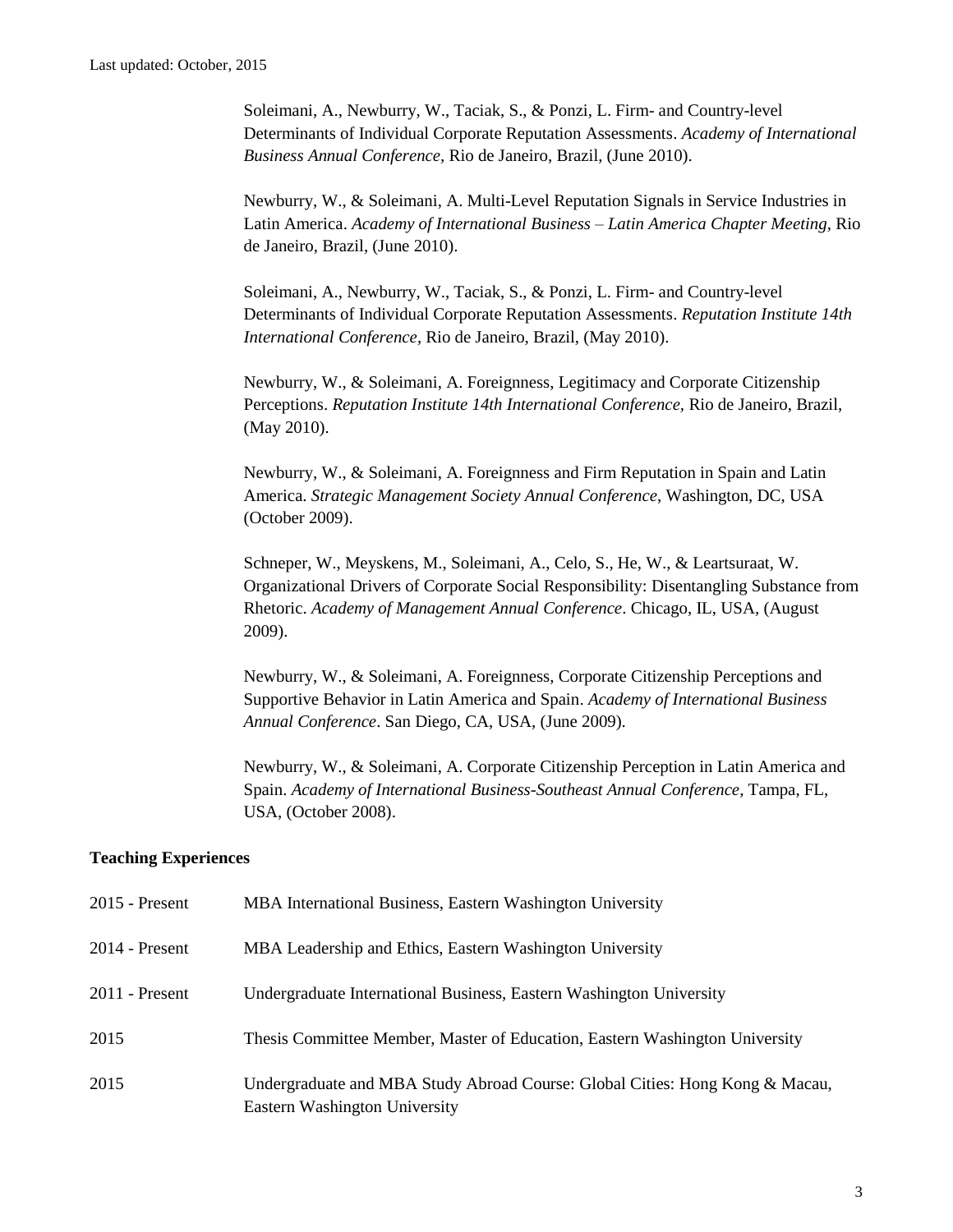Soleimani, A., Newburry, W., Taciak, S., & Ponzi, L. Firm- and Country-level Determinants of Individual Corporate Reputation Assessments. *Academy of International Business Annual Conference,* Rio de Janeiro, Brazil, (June 2010).

Newburry, W., & Soleimani, A. Multi-Level Reputation Signals in Service Industries in Latin America. *Academy of International Business – Latin America Chapter Meeting,* Rio de Janeiro, Brazil, (June 2010).

Soleimani, A., Newburry, W., Taciak, S., & Ponzi, L. Firm- and Country-level Determinants of Individual Corporate Reputation Assessments. *Reputation Institute 14th International Conference*, Rio de Janeiro, Brazil, (May 2010).

Newburry, W., & Soleimani, A. Foreignness, Legitimacy and Corporate Citizenship Perceptions. *Reputation Institute 14th International Conference,* Rio de Janeiro, Brazil, (May 2010).

Newburry, W., & Soleimani, A. Foreignness and Firm Reputation in Spain and Latin America. *Strategic Management Society Annual Conference*, Washington, DC, USA (October 2009).

Schneper, W., Meyskens, M., Soleimani, A., Celo, S., He, W., & Leartsuraat, W. Organizational Drivers of Corporate Social Responsibility: Disentangling Substance from Rhetoric. *Academy of Management Annual Conference*. Chicago, IL, USA, (August 2009).

Newburry, W., & Soleimani, A. Foreignness, Corporate Citizenship Perceptions and Supportive Behavior in Latin America and Spain. *Academy of International Business Annual Conference*. San Diego, CA, USA, (June 2009).

Newburry, W., & Soleimani, A. Corporate Citizenship Perception in Latin America and Spain. *Academy of International Business-Southeast Annual Conference*, Tampa, FL, USA, (October 2008).

## **Teaching Experiences**

| $2015$ - Present | MBA International Business, Eastern Washington University                                                            |
|------------------|----------------------------------------------------------------------------------------------------------------------|
| $2014$ - Present | MBA Leadership and Ethics, Eastern Washington University                                                             |
| $2011$ - Present | Undergraduate International Business, Eastern Washington University                                                  |
| 2015             | Thesis Committee Member, Master of Education, Eastern Washington University                                          |
| 2015             | Undergraduate and MBA Study Abroad Course: Global Cities: Hong Kong & Macau,<br><b>Eastern Washington University</b> |